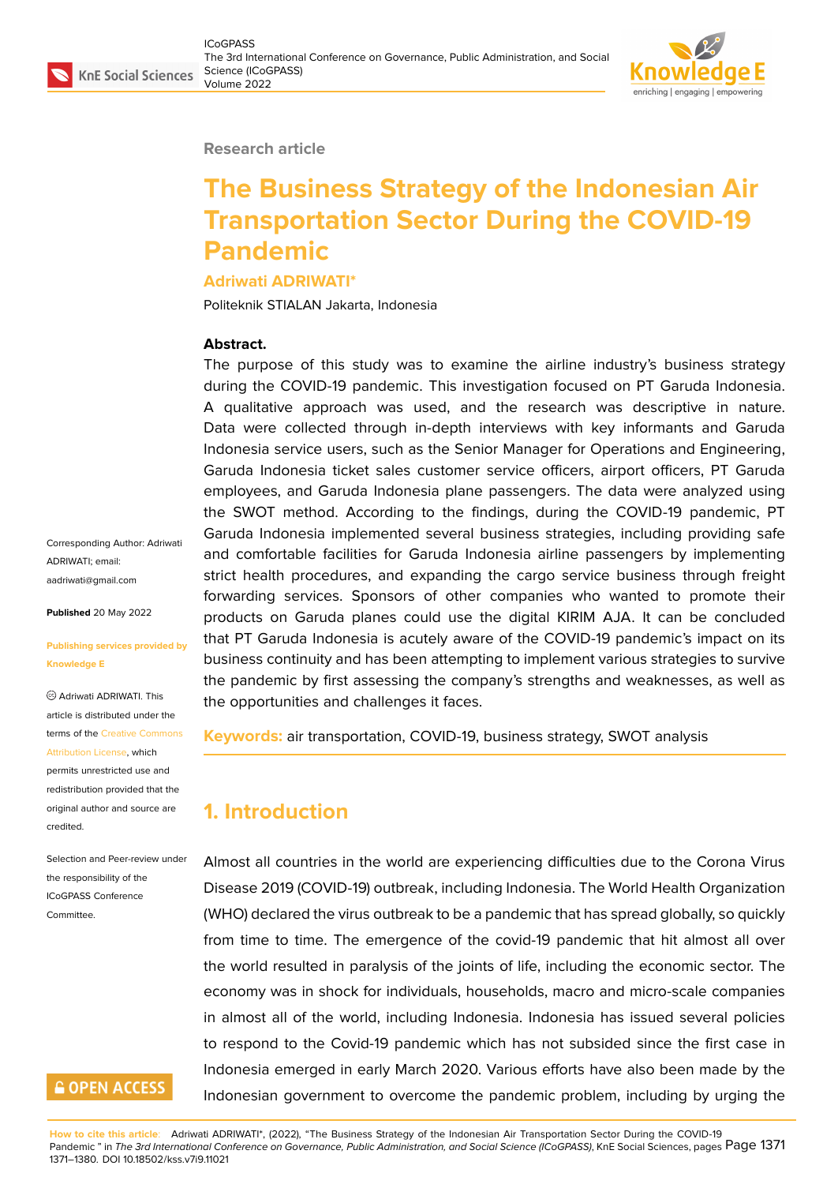## **Research article**

# **The Business Strategy of the Indonesian Air Transportation Sector During the COVID-19 Pandemic**

## **Adriwati ADRIWATI\***

Politeknik STIALAN Jakarta, Indonesia

## **Abstract.**

The purpose of this study was to examine the airline industry's business strategy during the COVID-19 pandemic. This investigation focused on PT Garuda Indonesia. A qualitative approach was used, and the research was descriptive in nature. Data were collected through in-depth interviews with key informants and Garuda Indonesia service users, such as the Senior Manager for Operations and Engineering, Garuda Indonesia ticket sales customer service officers, airport officers, PT Garuda employees, and Garuda Indonesia plane passengers. The data were analyzed using the SWOT method. According to the findings, during the COVID-19 pandemic, PT Garuda Indonesia implemented several business strategies, including providing safe and comfortable facilities for Garuda Indonesia airline passengers by implementing strict health procedures, and expanding the cargo service business through freight forwarding services. Sponsors of other companies who wanted to promote their products on Garuda planes could use the digital KIRIM AJA. It can be concluded that PT Garuda Indonesia is acutely aware of the COVID-19 pandemic's impact on its business continuity and has been attempting to implement various strategies to survive the pandemic by first assessing the company's strengths and weaknesses, as well as the opportunities and challenges it faces.

**Keywords:** air transportation, COVID-19, business strategy, SWOT analysis

# **1. Introduction**

Almost all countries in the world are experiencing difficulties due to the Corona Virus Disease 2019 (COVID-19) outbreak, including Indonesia. The World Health Organization (WHO) declared the virus outbreak to be a pandemic that has spread globally, so quickly from time to time. The emergence of the covid-19 pandemic that hit almost all over the world resulted in paralysis of the joints of life, including the economic sector. The economy was in shock for individuals, households, macro and micro-scale companies in almost all of the world, including Indonesia. Indonesia has issued several policies to respond to the Covid-19 pandemic which has not subsided since the first case in Indonesia emerged in early March 2020. Various efforts have also been made by the Indonesian government to overcome the pandemic problem, including by urging the

**How to cite this article**: Adriwati ADRIWATI\*, (2022), "The Business Strategy of the Indonesian Air Transportation Sector During the COVID-19 Pandemic " in *The 3rd International Conference on Governance, Public Administration, and Social Science (ICoGPASS)*, KnE Social Sciences, pages Page 1371 1371–1380. DOI 10.18502/kss.v7i9.11021

Corresponding Author: Adriwati ADRIWATI; email: aadriwati@gmail.com

**Published** 20 May 2022

## **[Publishing services p](mailto:aadriwati@gmail.com)rovided by Knowledge E**

Adriwati ADRIWATI. This article is distributed under the terms of the Creative Commons Attribution License, which permits unrestricted use and

redistribution provided that the original auth[or and source are](https://creativecommons.org/licenses/by/4.0/) [credited.](https://creativecommons.org/licenses/by/4.0/)

## Selection and Peer-review under the responsibility of the ICoGPASS Conference **Committee**

# **GOPEN ACCESS**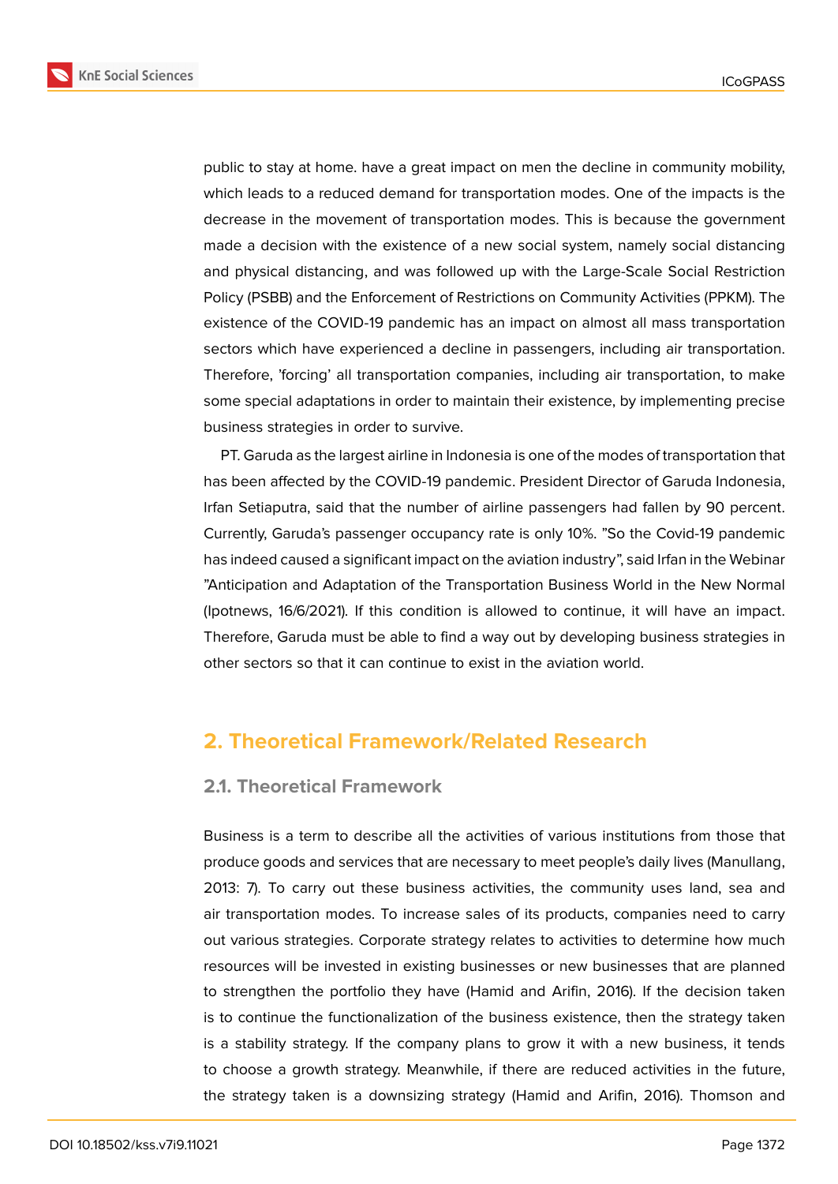**KnE Social Sciences** 





public to stay at home. have a great impact on men the decline in community mobility, which leads to a reduced demand for transportation modes. One of the impacts is the decrease in the movement of transportation modes. This is because the government made a decision with the existence of a new social system, namely social distancing and physical distancing, and was followed up with the Large-Scale Social Restriction Policy (PSBB) and the Enforcement of Restrictions on Community Activities (PPKM). The existence of the COVID-19 pandemic has an impact on almost all mass transportation sectors which have experienced a decline in passengers, including air transportation. Therefore, 'forcing' all transportation companies, including air transportation, to make some special adaptations in order to maintain their existence, by implementing precise business strategies in order to survive.

PT. Garuda as the largest airline in Indonesia is one of the modes of transportation that has been affected by the COVID-19 pandemic. President Director of Garuda Indonesia, Irfan Setiaputra, said that the number of airline passengers had fallen by 90 percent. Currently, Garuda's passenger occupancy rate is only 10%. "So the Covid-19 pandemic has indeed caused a significant impact on the aviation industry", said Irfan in the Webinar "Anticipation and Adaptation of the Transportation Business World in the New Normal (Ipotnews, 16/6/2021). If this condition is allowed to continue, it will have an impact. Therefore, Garuda must be able to find a way out by developing business strategies in other sectors so that it can continue to exist in the aviation world.

# **2. Theoretical Framework/Related Research**

## **2.1. Theoretical Framework**

Business is a term to describe all the activities of various institutions from those that produce goods and services that are necessary to meet people's daily lives (Manullang, 2013: 7). To carry out these business activities, the community uses land, sea and air transportation modes. To increase sales of its products, companies need to carry out various strategies. Corporate strategy relates to activities to determine how much resources will be invested in existing businesses or new businesses that are planned to strengthen the portfolio they have (Hamid and Arifin, 2016). If the decision taken is to continue the functionalization of the business existence, then the strategy taken is a stability strategy. If the company plans to grow it with a new business, it tends to choose a growth strategy. Meanwhile, if there are reduced activities in the future, the strategy taken is a downsizing strategy (Hamid and Arifin, 2016). Thomson and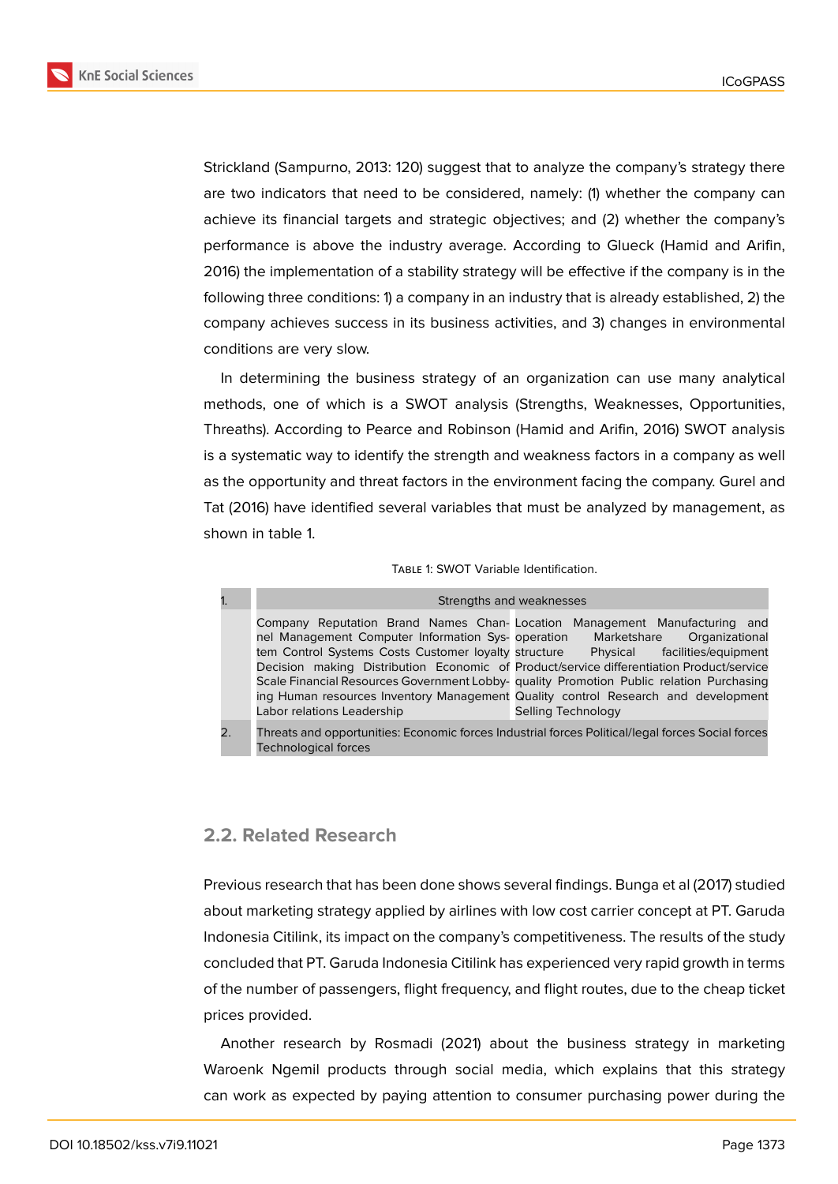



Strickland (Sampurno, 2013: 120) suggest that to analyze the company's strategy there are two indicators that need to be considered, namely: (1) whether the company can achieve its financial targets and strategic objectives; and (2) whether the company's performance is above the industry average. According to Glueck (Hamid and Arifin, 2016) the implementation of a stability strategy will be effective if the company is in the following three conditions: 1) a company in an industry that is already established, 2) the company achieves success in its business activities, and 3) changes in environmental conditions are very slow.

In determining the business strategy of an organization can use many analytical methods, one of which is a SWOT analysis (Strengths, Weaknesses, Opportunities, Threaths). According to Pearce and Robinson (Hamid and Arifin, 2016) SWOT analysis is a systematic way to identify the strength and weakness factors in a company as well as the opportunity and threat factors in the environment facing the company. Gurel and Tat (2016) have identified several variables that must be analyzed by management, as shown in table 1.

### TABLE 1: SWOT Variable Identification.

| 1.               |                                                                                                                                                   | Strengths and weaknesses                                                                                                                                                                                                                                                                                                                                                                                                              |
|------------------|---------------------------------------------------------------------------------------------------------------------------------------------------|---------------------------------------------------------------------------------------------------------------------------------------------------------------------------------------------------------------------------------------------------------------------------------------------------------------------------------------------------------------------------------------------------------------------------------------|
|                  | nel Management Computer Information Sys- operation<br>tem Control Systems Costs Customer loyalty structure Physical<br>Labor relations Leadership | Company Reputation Brand Names Chan-Location Management Manufacturing and<br>Marketshare<br>Organizational<br>facilities/equipment<br>Decision making Distribution Economic of Product/service differentiation Product/service<br>Scale Financial Resources Government Lobby- quality Promotion Public relation Purchasing<br>ing Human resources Inventory Management Quality control Research and development<br>Selling Technology |
| $\overline{2}$ . | <b>Technological forces</b>                                                                                                                       | Threats and opportunities: Economic forces Industrial forces Political/legal forces Social forces                                                                                                                                                                                                                                                                                                                                     |

## **2.2. Related Research**

Previous research that has been done shows several findings. Bunga et al (2017) studied about marketing strategy applied by airlines with low cost carrier concept at PT. Garuda Indonesia Citilink, its impact on the company's competitiveness. The results of the study concluded that PT. Garuda Indonesia Citilink has experienced very rapid growth in terms of the number of passengers, flight frequency, and flight routes, due to the cheap ticket prices provided.

Another research by Rosmadi (2021) about the business strategy in marketing Waroenk Ngemil products through social media, which explains that this strategy can work as expected by paying attention to consumer purchasing power during the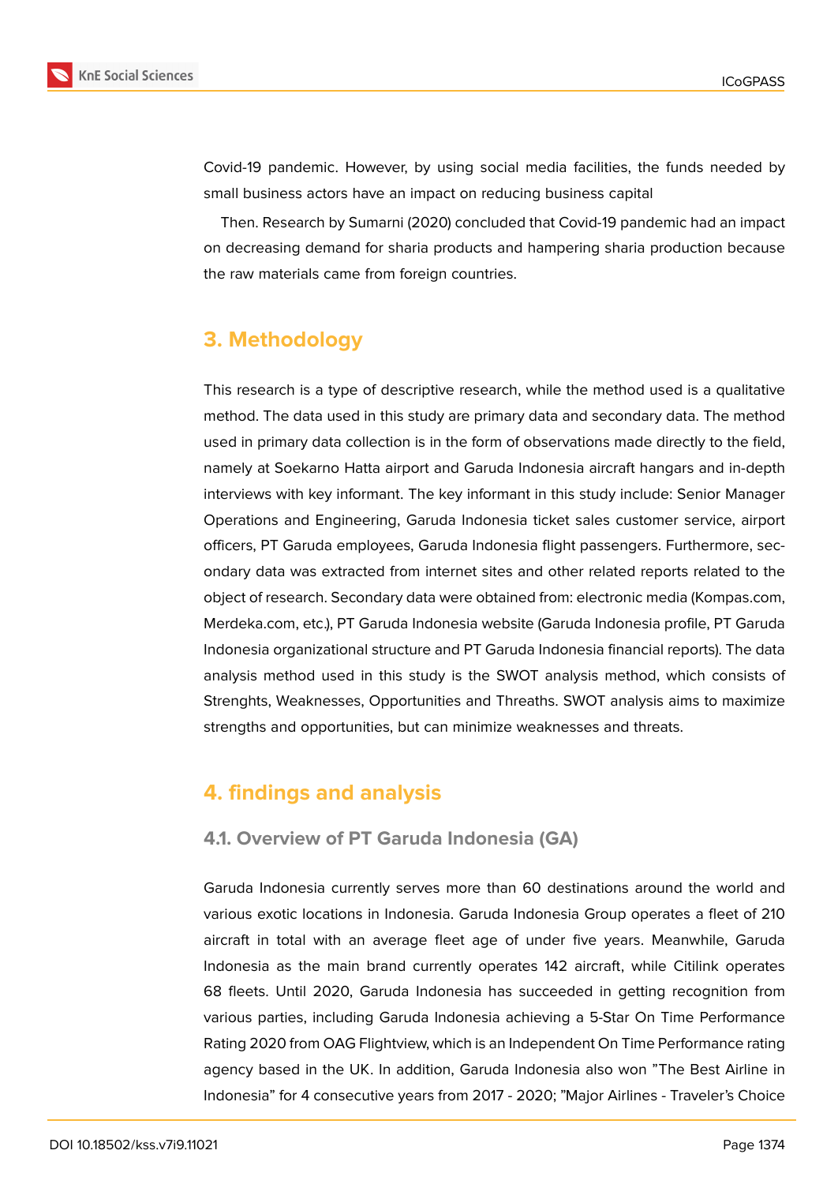

Covid-19 pandemic. However, by using social media facilities, the funds needed by small business actors have an impact on reducing business capital

Then. Research by Sumarni (2020) concluded that Covid-19 pandemic had an impact on decreasing demand for sharia products and hampering sharia production because the raw materials came from foreign countries.

# **3. Methodology**

This research is a type of descriptive research, while the method used is a qualitative method. The data used in this study are primary data and secondary data. The method used in primary data collection is in the form of observations made directly to the field, namely at Soekarno Hatta airport and Garuda Indonesia aircraft hangars and in-depth interviews with key informant. The key informant in this study include: Senior Manager Operations and Engineering, Garuda Indonesia ticket sales customer service, airport officers, PT Garuda employees, Garuda Indonesia flight passengers. Furthermore, secondary data was extracted from internet sites and other related reports related to the object of research. Secondary data were obtained from: electronic media (Kompas.com, Merdeka.com, etc.), PT Garuda Indonesia website (Garuda Indonesia profile, PT Garuda Indonesia organizational structure and PT Garuda Indonesia financial reports). The data analysis method used in this study is the SWOT analysis method, which consists of Strenghts, Weaknesses, Opportunities and Threaths. SWOT analysis aims to maximize strengths and opportunities, but can minimize weaknesses and threats.

# **4. findings and analysis**

## **4.1. Overview of PT Garuda Indonesia (GA)**

Garuda Indonesia currently serves more than 60 destinations around the world and various exotic locations in Indonesia. Garuda Indonesia Group operates a fleet of 210 aircraft in total with an average fleet age of under five years. Meanwhile, Garuda Indonesia as the main brand currently operates 142 aircraft, while Citilink operates 68 fleets. Until 2020, Garuda Indonesia has succeeded in getting recognition from various parties, including Garuda Indonesia achieving a 5-Star On Time Performance Rating 2020 from OAG Flightview, which is an Independent On Time Performance rating agency based in the UK. In addition, Garuda Indonesia also won "The Best Airline in Indonesia" for 4 consecutive years from 2017 - 2020; "Major Airlines - Traveler's Choice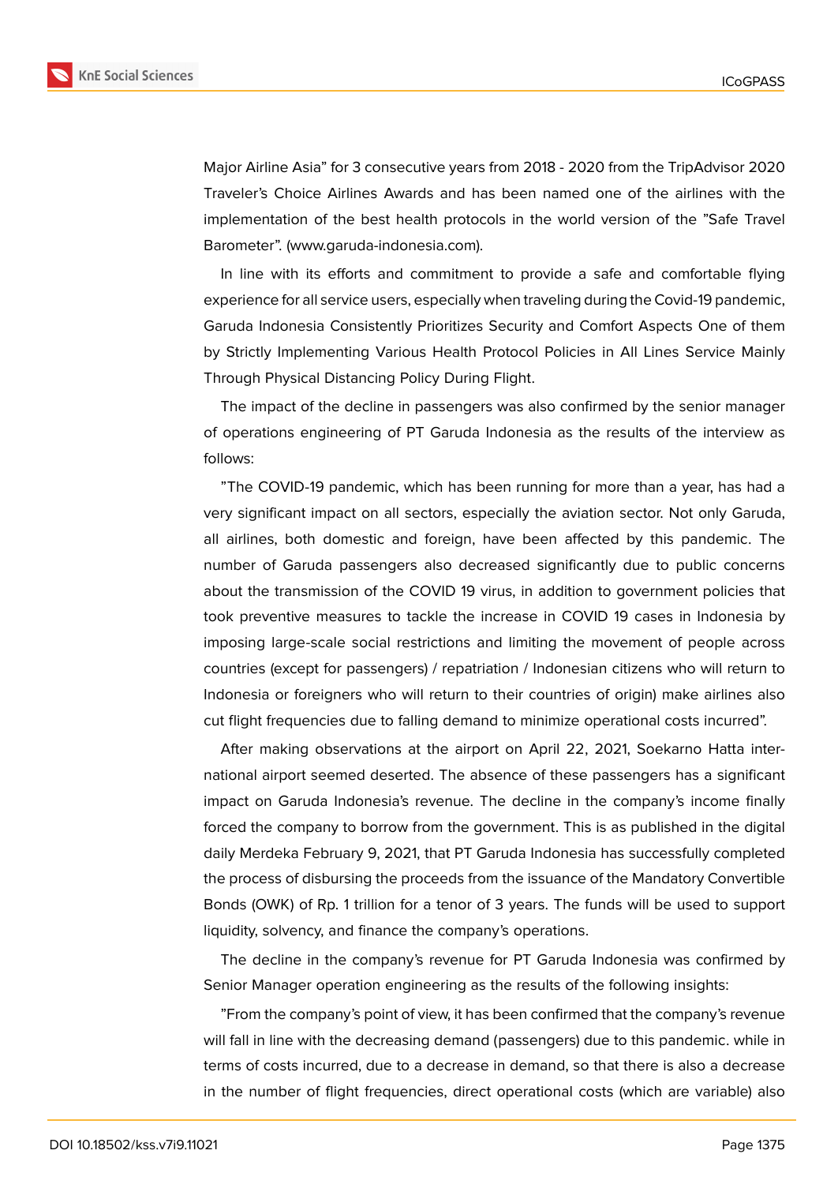

Major Airline Asia" for 3 consecutive years from 2018 - 2020 from the TripAdvisor 2020 Traveler's Choice Airlines Awards and has been named one of the airlines with the implementation of the best health protocols in the world version of the "Safe Travel Barometer". (www.garuda-indonesia.com).

In line with its efforts and commitment to provide a safe and comfortable flying experience for all service users, especially when traveling during the Covid-19 pandemic, Garuda Indonesia Consistently Prioritizes Security and Comfort Aspects One of them by Strictly Implementing Various Health Protocol Policies in All Lines Service Mainly Through Physical Distancing Policy During Flight.

The impact of the decline in passengers was also confirmed by the senior manager of operations engineering of PT Garuda Indonesia as the results of the interview as follows:

"The COVID-19 pandemic, which has been running for more than a year, has had a very significant impact on all sectors, especially the aviation sector. Not only Garuda, all airlines, both domestic and foreign, have been affected by this pandemic. The number of Garuda passengers also decreased significantly due to public concerns about the transmission of the COVID 19 virus, in addition to government policies that took preventive measures to tackle the increase in COVID 19 cases in Indonesia by imposing large-scale social restrictions and limiting the movement of people across countries (except for passengers) / repatriation / Indonesian citizens who will return to Indonesia or foreigners who will return to their countries of origin) make airlines also cut flight frequencies due to falling demand to minimize operational costs incurred".

After making observations at the airport on April 22, 2021, Soekarno Hatta international airport seemed deserted. The absence of these passengers has a significant impact on Garuda Indonesia's revenue. The decline in the company's income finally forced the company to borrow from the government. This is as published in the digital daily Merdeka February 9, 2021, that PT Garuda Indonesia has successfully completed the process of disbursing the proceeds from the issuance of the Mandatory Convertible Bonds (OWK) of Rp. 1 trillion for a tenor of 3 years. The funds will be used to support liquidity, solvency, and finance the company's operations.

The decline in the company's revenue for PT Garuda Indonesia was confirmed by Senior Manager operation engineering as the results of the following insights:

"From the company's point of view, it has been confirmed that the company's revenue will fall in line with the decreasing demand (passengers) due to this pandemic. while in terms of costs incurred, due to a decrease in demand, so that there is also a decrease in the number of flight frequencies, direct operational costs (which are variable) also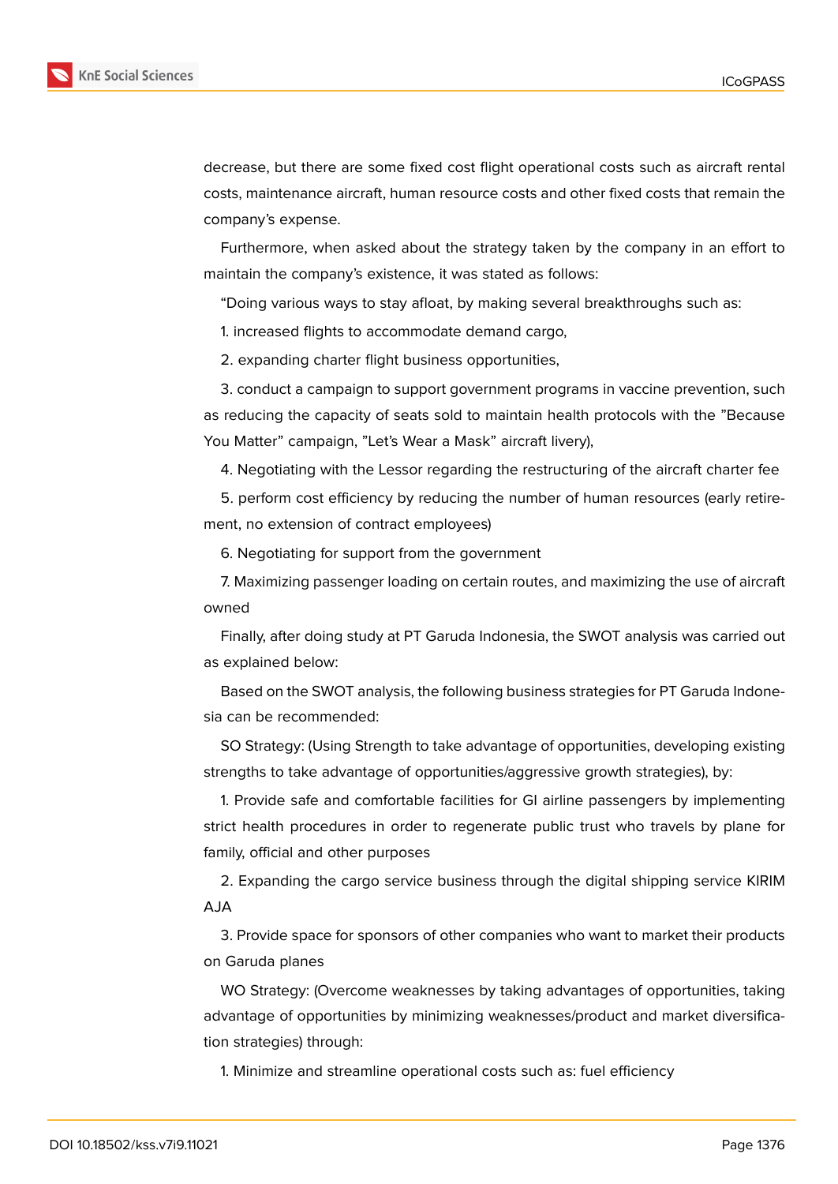

decrease, but there are some fixed cost flight operational costs such as aircraft rental costs, maintenance aircraft, human resource costs and other fixed costs that remain the company's expense.

Furthermore, when asked about the strategy taken by the company in an effort to maintain the company's existence, it was stated as follows:

"Doing various ways to stay afloat, by making several breakthroughs such as:

1. increased flights to accommodate demand cargo,

2. expanding charter flight business opportunities,

3. conduct a campaign to support government programs in vaccine prevention, such as reducing the capacity of seats sold to maintain health protocols with the "Because You Matter" campaign, "Let's Wear a Mask" aircraft livery),

4. Negotiating with the Lessor regarding the restructuring of the aircraft charter fee

5. perform cost efficiency by reducing the number of human resources (early retirement, no extension of contract employees)

6. Negotiating for support from the government

7. Maximizing passenger loading on certain routes, and maximizing the use of aircraft owned

Finally, after doing study at PT Garuda Indonesia, the SWOT analysis was carried out as explained below:

Based on the SWOT analysis, the following business strategies for PT Garuda Indonesia can be recommended:

SO Strategy: (Using Strength to take advantage of opportunities, developing existing strengths to take advantage of opportunities/aggressive growth strategies), by:

1. Provide safe and comfortable facilities for GI airline passengers by implementing strict health procedures in order to regenerate public trust who travels by plane for family, official and other purposes

2. Expanding the cargo service business through the digital shipping service KIRIM AJA

3. Provide space for sponsors of other companies who want to market their products on Garuda planes

WO Strategy: (Overcome weaknesses by taking advantages of opportunities, taking advantage of opportunities by minimizing weaknesses/product and market diversification strategies) through:

1. Minimize and streamline operational costs such as: fuel efficiency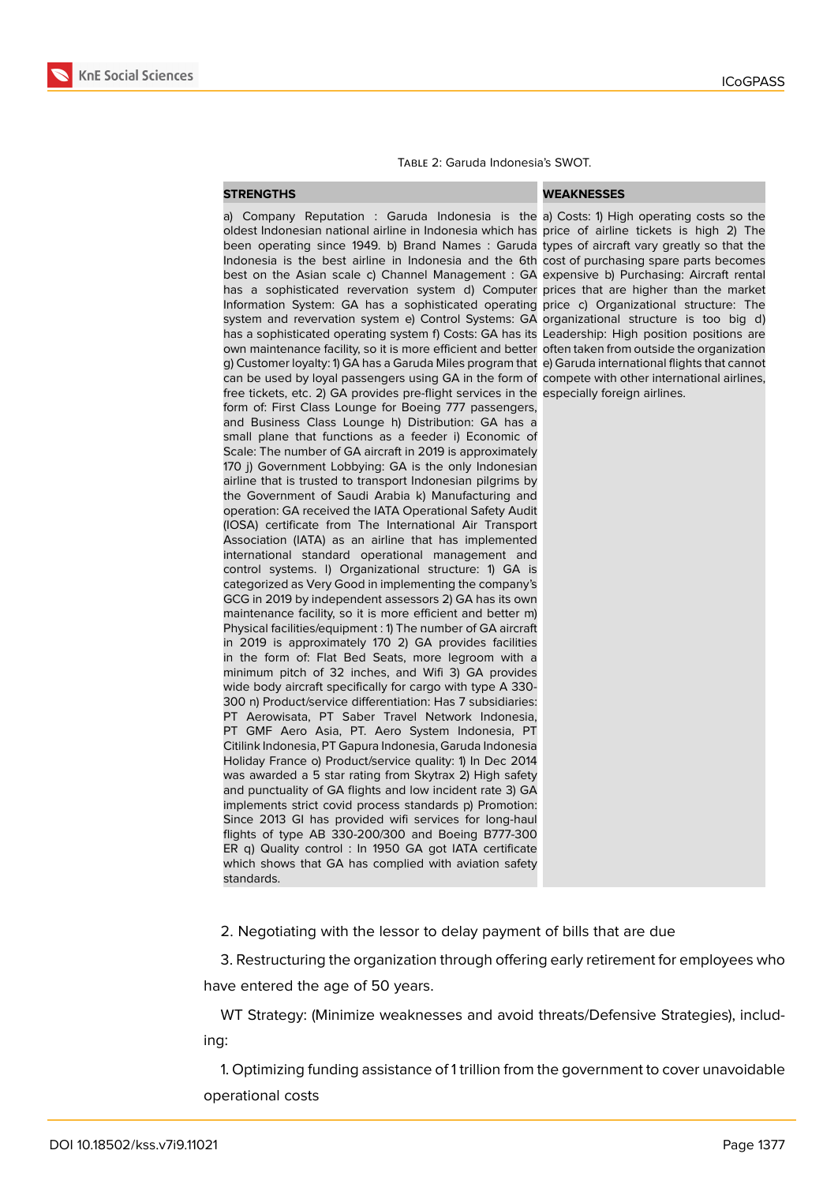

### Table 2: Garuda Indonesia's SWOT.

## **STRENGTHS WEAKNESSES**

a) Company Reputation : Garuda Indonesia is the a) Costs: 1) High operating costs so the oldest Indonesian national airline in Indonesia which has price of airline tickets is high 2) The been operating since 1949. b) Brand Names : Garuda types of aircraft vary greatly so that the Indonesia is the best airline in Indonesia and the 6th cost of purchasing spare parts becomes best on the Asian scale c) Channel Management : GA expensive b) Purchasing: Aircraft rental has a sophisticated revervation system d) Computer prices that are higher than the market Information System: GA has a sophisticated operating price c) Organizational structure: The system and revervation system e) Control Systems: GA organizational structure is too big d) has a sophisticated operating system f) Costs: GA has its Leadership: High position positions are own maintenance facility, so it is more efficient and better often taken from outside the organization g) Customer loyalty: 1) GA has a Garuda Miles program that e) Garuda international flights that cannot can be used by loyal passengers using GA in the form of compete with other international airlines, free tickets, etc. 2) GA provides pre-flight services in the especially foreign airlines. form of: First Class Lounge for Boeing 777 passengers, and Business Class Lounge h) Distribution: GA has a small plane that functions as a feeder i) Economic of Scale: The number of GA aircraft in 2019 is approximately 170 j) Government Lobbying: GA is the only Indonesian airline that is trusted to transport Indonesian pilgrims by the Government of Saudi Arabia k) Manufacturing and operation: GA received the IATA Operational Safety Audit (IOSA) certificate from The International Air Transport Association (IATA) as an airline that has implemented international standard operational management and control systems. l) Organizational structure: 1) GA is categorized as Very Good in implementing the company's GCG in 2019 by independent assessors 2) GA has its own maintenance facility, so it is more efficient and better m) Physical facilities/equipment : 1) The number of GA aircraft in 2019 is approximately 170 2) GA provides facilities in the form of: Flat Bed Seats, more legroom with a minimum pitch of 32 inches, and Wifi 3) GA provides wide body aircraft specifically for cargo with type A 330- 300 n) Product/service differentiation: Has 7 subsidiaries: PT Aerowisata, PT Saber Travel Network Indonesia, PT GMF Aero Asia, PT. Aero System Indonesia, PT Citilink Indonesia, PT Gapura Indonesia, Garuda Indonesia Holiday France o) Product/service quality: 1) In Dec 2014 was awarded a 5 star rating from Skytrax 2) High safety and punctuality of GA flights and low incident rate 3) GA implements strict covid process standards p) Promotion: Since 2013 GI has provided wifi services for long-haul flights of type AB 330-200/300 and Boeing B777-300 ER q) Quality control : In 1950 GA got IATA certificate which shows that GA has complied with aviation safety standards.

2. Negotiating with the lessor to delay payment of bills that are due

3. Restructuring the organization through offering early retirement for employees who have entered the age of 50 years.

WT Strategy: (Minimize weaknesses and avoid threats/Defensive Strategies), including:

1. Optimizing funding assistance of 1 trillion from the government to cover unavoidable operational costs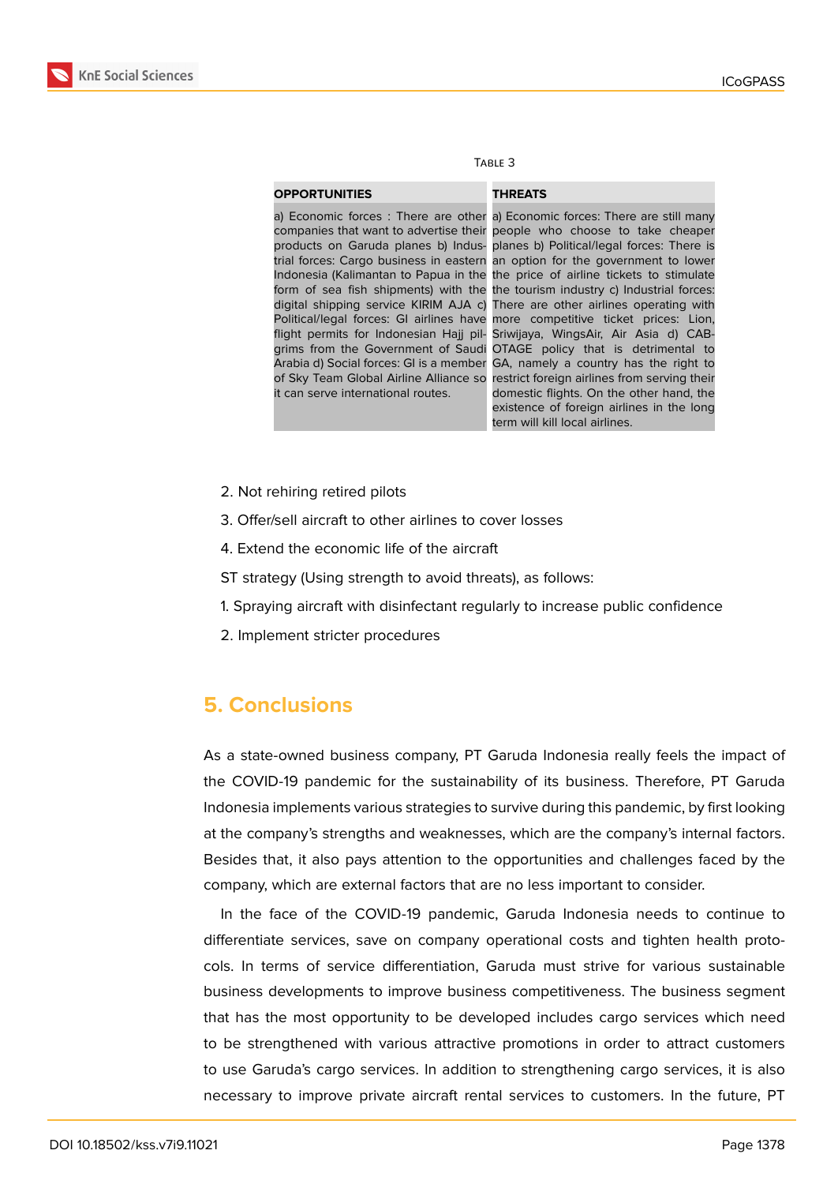

| L<br>∽<br>. .<br>۰,<br>۰. |  |
|---------------------------|--|
|---------------------------|--|

## **OPPORTUNITIES THREATS**

it can serve international routes.

a) Economic forces : There are other a) Economic forces: There are still many companies that want to advertise their people who choose to take cheaper products on Garuda planes b) Indus- planes b) Political/legal forces: There is trial forces: Cargo business in eastern an option for the government to lower Indonesia (Kalimantan to Papua in the the price of airline tickets to stimulate form of sea fish shipments) with the the tourism industry c) Industrial forces: digital shipping service KIRIM AJA c) There are other airlines operating with Political/legal forces: GI airlines have more competitive ticket prices: Lion, flight permits for Indonesian Hajj pil-Sriwijaya, WingsAir, Air Asia d) CABgrims from the Government of Saudi OTAGE policy that is detrimental to Arabia d) Social forces: GI is a member GA, namely a country has the right to of Sky Team Global Airline Alliance so restrict foreign airlines from serving their domestic flights. On the other hand, the existence of foreign airlines in the long term will kill local airlines.

- 2. Not rehiring retired pilots
- 3. Offer/sell aircraft to other airlines to cover losses
- 4. Extend the economic life of the aircraft
- ST strategy (Using strength to avoid threats), as follows:
- 1. Spraying aircraft with disinfectant regularly to increase public confidence
- 2. Implement stricter procedures

# **5. Conclusions**

As a state-owned business company, PT Garuda Indonesia really feels the impact of the COVID-19 pandemic for the sustainability of its business. Therefore, PT Garuda Indonesia implements various strategies to survive during this pandemic, by first looking at the company's strengths and weaknesses, which are the company's internal factors. Besides that, it also pays attention to the opportunities and challenges faced by the company, which are external factors that are no less important to consider.

In the face of the COVID-19 pandemic, Garuda Indonesia needs to continue to differentiate services, save on company operational costs and tighten health protocols. In terms of service differentiation, Garuda must strive for various sustainable business developments to improve business competitiveness. The business segment that has the most opportunity to be developed includes cargo services which need to be strengthened with various attractive promotions in order to attract customers to use Garuda's cargo services. In addition to strengthening cargo services, it is also necessary to improve private aircraft rental services to customers. In the future, PT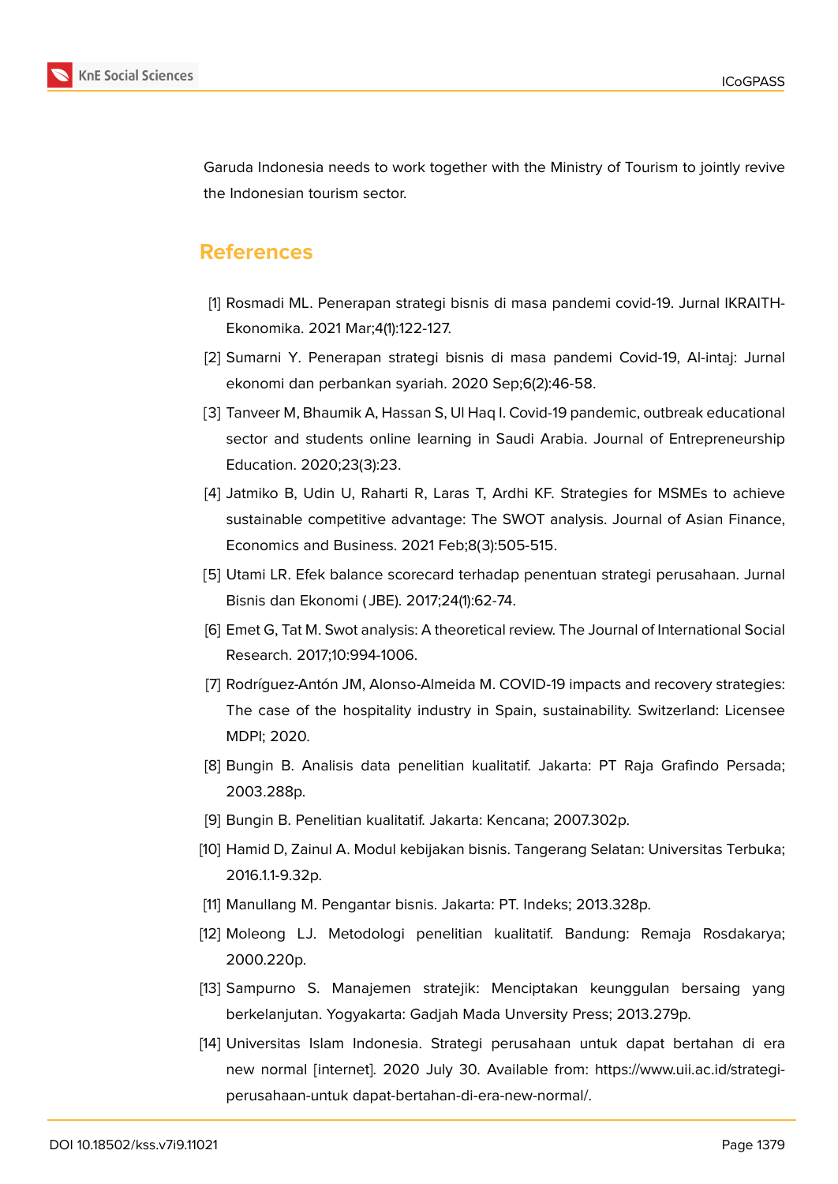

Garuda Indonesia needs to work together with the Ministry of Tourism to jointly revive the Indonesian tourism sector.

## **References**

- [1] Rosmadi ML. Penerapan strategi bisnis di masa pandemi covid-19. Jurnal IKRAITH-Ekonomika. 2021 Mar;4(1):122-127.
- [2] Sumarni Y. Penerapan strategi bisnis di masa pandemi Covid-19, Al-intaj: Jurnal ekonomi dan perbankan syariah. 2020 Sep;6(2):46-58.
- [3] Tanveer M, Bhaumik A, Hassan S, Ul Haq I. Covid-19 pandemic, outbreak educational sector and students online learning in Saudi Arabia. Journal of Entrepreneurship Education. 2020;23(3):23.
- [4] Jatmiko B, Udin U, Raharti R, Laras T, Ardhi KF. Strategies for MSMEs to achieve sustainable competitive advantage: The SWOT analysis. Journal of Asian Finance, Economics and Business. 2021 Feb;8(3):505-515.
- [5] Utami LR. Efek balance scorecard terhadap penentuan strategi perusahaan. Jurnal Bisnis dan Ekonomi ( JBE). 2017;24(1):62-74.
- [6] Emet G, Tat M. Swot analysis: A theoretical review. The Journal of International Social Research. 2017;10:994-1006.
- [7] Rodríguez-Antón JM, Alonso-Almeida M. COVID-19 impacts and recovery strategies: The case of the hospitality industry in Spain, sustainability. Switzerland: Licensee MDPI; 2020.
- [8] Bungin B. Analisis data penelitian kualitatif. Jakarta: PT Raja Grafindo Persada; 2003.288p.
- [9] Bungin B. Penelitian kualitatif. Jakarta: Kencana; 2007.302p.
- [10] Hamid D, Zainul A. Modul kebijakan bisnis. Tangerang Selatan: Universitas Terbuka; 2016.1.1-9.32p.
- [11] Manullang M. Pengantar bisnis. Jakarta: PT. Indeks; 2013.328p.
- [12] Moleong LJ. Metodologi penelitian kualitatif. Bandung: Remaja Rosdakarya; 2000.220p.
- [13] Sampurno S. Manajemen stratejik: Menciptakan keunggulan bersaing yang berkelanjutan. Yogyakarta: Gadjah Mada Unversity Press; 2013.279p.
- [14] Universitas Islam Indonesia. Strategi perusahaan untuk dapat bertahan di era new normal [internet]. 2020 July 30. Available from: https://www.uii.ac.id/strategiperusahaan-untuk dapat-bertahan-di-era-new-normal/.